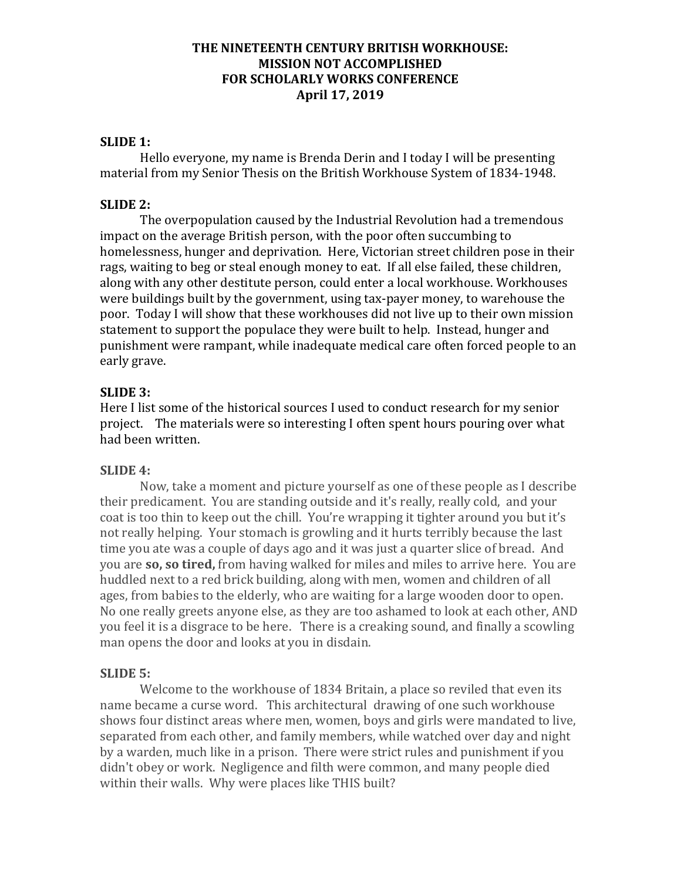# **THE NINETEENTH CENTURY BRITISH WORKHOUSE: MISSION NOT ACCOMPLISHED FOR SCHOLARLY WORKS CONFERENCE April 17, 2019**

### **SLIDE 1:**

Hello everyone, my name is Brenda Derin and I today I will be presenting material from my Senior Thesis on the British Workhouse System of 1834-1948.

#### **SLIDE 2:**

The overpopulation caused by the Industrial Revolution had a tremendous impact on the average British person, with the poor often succumbing to homelessness, hunger and deprivation. Here, Victorian street children pose in their rags, waiting to beg or steal enough money to eat. If all else failed, these children, along with any other destitute person, could enter a local workhouse. Workhouses were buildings built by the government, using tax-payer money, to warehouse the poor. Today I will show that these workhouses did not live up to their own mission statement to support the populace they were built to help. Instead, hunger and punishment were rampant, while inadequate medical care often forced people to an early grave.

### **SLIDE 3:**

Here I list some of the historical sources I used to conduct research for my senior project. The materials were so interesting I often spent hours pouring over what had been written.

### **SLIDE 4:**

Now, take a moment and picture yourself as one of these people as I describe their predicament. You are standing outside and it's really, really cold, and your coat is too thin to keep out the chill. You're wrapping it tighter around you but it's not really helping. Your stomach is growling and it hurts terribly because the last time you ate was a couple of days ago and it was just a quarter slice of bread. And you are **so, so tired,** from having walked for miles and miles to arrive here. You are huddled next to a red brick building, along with men, women and children of all ages, from babies to the elderly, who are waiting for a large wooden door to open. No one really greets anyone else, as they are too ashamed to look at each other, AND you feel it is a disgrace to be here. There is a creaking sound, and finally a scowling man opens the door and looks at you in disdain.

#### **SLIDE 5:**

Welcome to the workhouse of 1834 Britain, a place so reviled that even its name became a curse word. This architectural drawing of one such workhouse shows four distinct areas where men, women, boys and girls were mandated to live, separated from each other, and family members, while watched over day and night by a warden, much like in a prison. There were strict rules and punishment if you didn't obey or work. Negligence and filth were common, and many people died within their walls. Why were places like THIS built?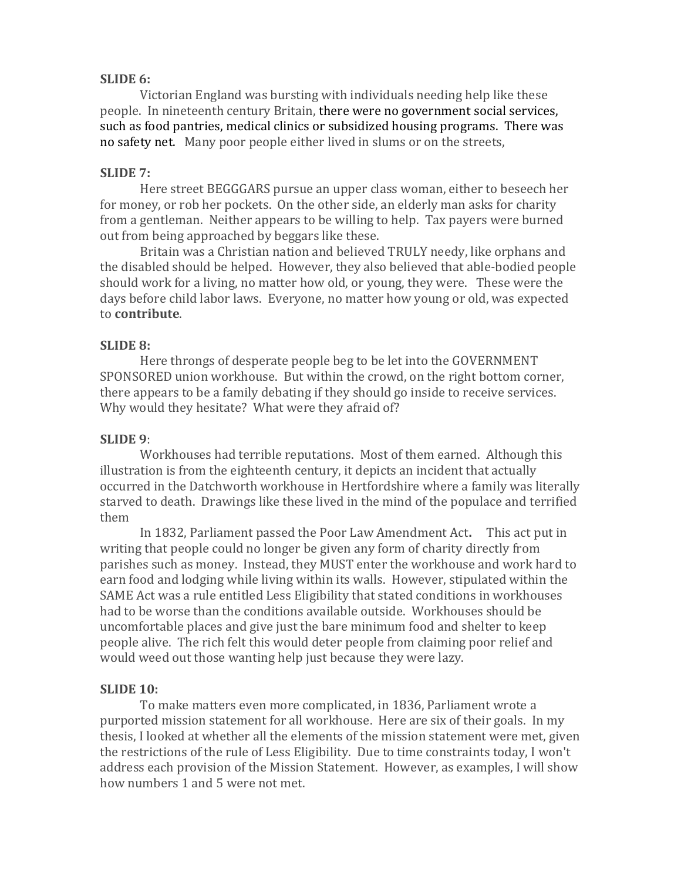### **SLIDE 6:**

Victorian England was bursting with individuals needing help like these people. In nineteenth century Britain, there were no government social services, such as food pantries, medical clinics or subsidized housing programs. There was no safety net. Many poor people either lived in slums or on the streets,

### **SLIDE 7:**

Here street BEGGGARS pursue an upper class woman, either to beseech her for money, or rob her pockets. On the other side, an elderly man asks for charity from a gentleman. Neither appears to be willing to help. Tax payers were burned out from being approached by beggars like these.

Britain was a Christian nation and believed TRULY needy, like orphans and the disabled should be helped. However, they also believed that able-bodied people should work for a living, no matter how old, or young, they were. These were the days before child labor laws. Everyone, no matter how young or old, was expected to **contribute**.

# **SLIDE 8:**

Here throngs of desperate people beg to be let into the GOVERNMENT SPONSORED union workhouse. But within the crowd, on the right bottom corner, there appears to be a family debating if they should go inside to receive services. Why would they hesitate? What were they afraid of?

### **SLIDE 9**:

Workhouses had terrible reputations. Most of them earned. Although this illustration is from the eighteenth century, it depicts an incident that actually occurred in the Datchworth workhouse in Hertfordshire where a family was literally starved to death. Drawings like these lived in the mind of the populace and terrified them

In 1832, Parliament passed the Poor Law Amendment Act**.** This act put in writing that people could no longer be given any form of charity directly from parishes such as money. Instead, they MUST enter the workhouse and work hard to earn food and lodging while living within its walls. However, stipulated within the SAME Act was a rule entitled Less Eligibility that stated conditions in workhouses had to be worse than the conditions available outside. Workhouses should be uncomfortable places and give just the bare minimum food and shelter to keep people alive. The rich felt this would deter people from claiming poor relief and would weed out those wanting help just because they were lazy.

# **SLIDE 10:**

To make matters even more complicated, in 1836, Parliament wrote a purported mission statement for all workhouse. Here are six of their goals.In my thesis, I looked at whether all the elements of the mission statement were met, given the restrictions of the rule of Less Eligibility. Due to time constraints today, I won't address each provision of the Mission Statement. However, as examples, I will show how numbers 1 and 5 were not met.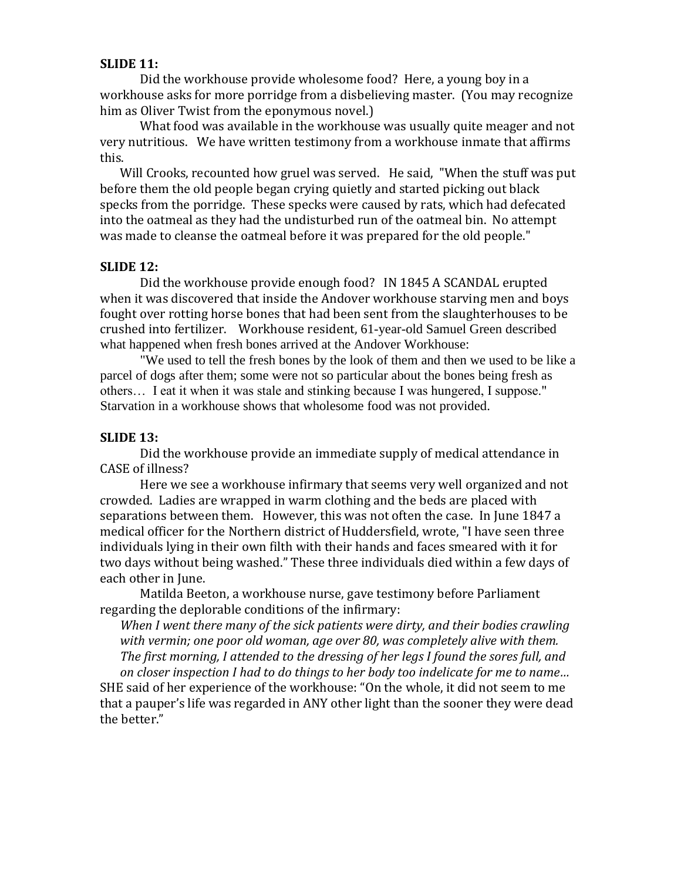### **SLIDE 11:**

Did the workhouse provide wholesome food? Here, a young boy in a workhouse asks for more porridge from a disbelieving master. (You may recognize him as Oliver Twist from the eponymous novel.)

What food was available in the workhouse was usually quite meager and not very nutritious. We have written testimony from a workhouse inmate that affirms this.

[Will Crooks,](http://www.workhouses.org.uk/Crooks/) recounted how gruel was served. He said, "When the stuff was put before them the old people began crying quietly and started picking out black specks from the porridge. These specks were caused by rats, which had defecated into the oatmeal as they had the undisturbed run of the oatmeal bin. No attempt was made to cleanse the oatmeal before it was prepared for the old people."

#### **SLIDE 12:**

Did the workhouse provide enough food? IN 1845 A SCANDAL erupted when it was discovered that inside the Andover workhouse starving men and boys fought over rotting horse bones that had been sent from the slaughterhouses to be crushed into fertilizer. Workhouse resident, 61-year-old Samuel Green described what happened when fresh bones arrived at the Andover Workhouse:

"We used to tell the fresh bones by the look of them and then we used to be like a parcel of dogs after them; some were not so particular about the bones being fresh as others… I eat it when it was stale and stinking because I was hungered, I suppose." Starvation in a workhouse shows that wholesome food was not provided.

### **SLIDE 13:**

Did the workhouse provide an immediate supply of medical attendance in CASE of illness?

Here we see a workhouse infirmary that seems very well organized and not crowded. Ladies are wrapped in warm clothing and the beds are placed with separations between them. However, this was not often the case. In June 1847 a medical officer for the Northern district of Huddersfield, wrote, "I have seen three individuals lying in their own filth with their hands and faces smeared with it for two days without being washed." These three individuals died within a few days of each other in June.

Matilda Beeton, a workhouse nurse, gave testimony before Parliament regarding the deplorable conditions of the infirmary:

*When I went there many of the sick patients were dirty, and their bodies crawling with vermin; one poor old woman, age over 80, was completely alive with them. The first morning, I attended to the dressing of her legs I found the sores full, and on closer inspection I had to do things to her body too indelicate for me to name…*

SHE said of her experience of the workhouse: "On the whole, it did not seem to me that a pauper's life was regarded in ANY other light than the sooner they were dead the better."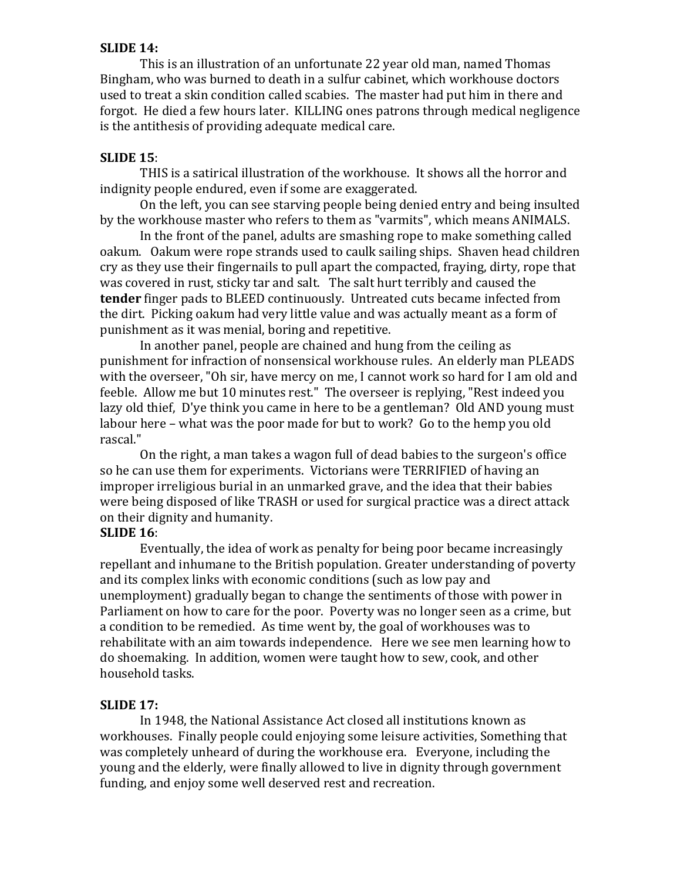# **SLIDE 14:**

This is an illustration of an unfortunate 22 year old man, named Thomas Bingham, who was burned to death in a sulfur cabinet, which workhouse doctors used to treat a skin condition called scabies. The master had put him in there and forgot. He died a few hours later. KILLING ones patrons through medical negligence is the antithesis of providing adequate medical care.

### **SLIDE 15**:

THIS is a satirical illustration of the workhouse. It shows all the horror and indignity people endured, even if some are exaggerated.

On the left, you can see starving people being denied entry and being insulted by the workhouse master who refers to them as "varmits", which means ANIMALS.

In the front of the panel, adults are smashing rope to make something called oakum. Oakum were rope strands used to caulk sailing ships. Shaven head children cry as they use their fingernails to pull apart the compacted, fraying, dirty, rope that was covered in rust, sticky tar and salt. The salt hurt terribly and caused the **tender** finger pads to BLEED continuously. Untreated cuts became infected from the dirt. Picking oakum had very little value and was actually meant as a form of punishment as it was menial, boring and repetitive.

In another panel, people are chained and hung from the ceiling as punishment for infraction of nonsensical workhouse rules. An elderly man PLEADS with the overseer, "Oh sir, have mercy on me, I cannot work so hard for I am old and feeble. Allow me but 10 minutes rest." The overseer is replying, "Rest indeed you lazy old thief, D'ye think you came in here to be a gentleman? Old AND young must labour here – what was the poor made for but to work? Go to the hemp you old rascal."

On the right, a man takes a wagon full of dead babies to the surgeon's office so he can use them for experiments. Victorians were TERRIFIED of having an improper irreligious burial in an unmarked grave, and the idea that their babies were being disposed of like TRASH or used for surgical practice was a direct attack on their dignity and humanity.

### **SLIDE 16**:

Eventually, the idea of work as penalty for being poor became increasingly repellant and inhumane to the British population. Greater understanding of poverty and its complex links with economic conditions (such as low pay and unemployment) gradually began to change the sentiments of those with power in Parliament on how to care for the poor. Poverty was no longer seen as a crime, but a condition to be remedied. As time went by, the goal of workhouses was to rehabilitate with an aim towards independence. Here we see men learning how to do shoemaking. In addition, women were taught how to sew, cook, and other household tasks.

# **SLIDE 17:**

In 1948, the National Assistance Act closed all institutions known as workhouses. Finally people could enjoying some leisure activities, Something that was completely unheard of during the workhouse era. Everyone, including the young and the elderly, were finally allowed to live in dignity through government funding, and enjoy some well deserved rest and recreation.